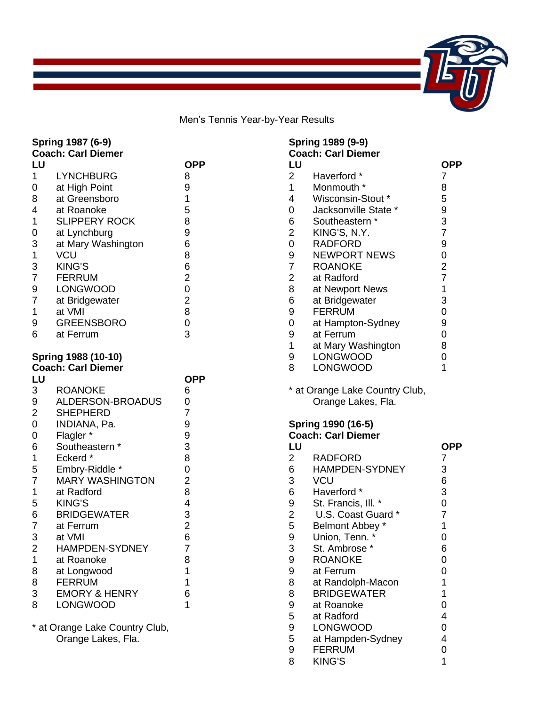

Men's Tennis Year-by-Year Results

|                  | Spring 1987 (6-9)<br><b>Coach: Carl Diemer</b> |                |                | Spring 1989 (9-9)<br><b>Coach: Carl Dien</b> |
|------------------|------------------------------------------------|----------------|----------------|----------------------------------------------|
| LU               |                                                | <b>OPP</b>     | LU             |                                              |
| 1                | <b>LYNCHBURG</b>                               | 8              | $\overline{2}$ | Haverford *                                  |
| 0                | at High Point                                  | 9              | 1              | Monmouth *                                   |
| 8                | at Greensboro                                  | 1              | 4              | Wisconsin-S                                  |
| 4                | at Roanoke                                     | 5              | 0              | Jacksonville                                 |
| 1                | <b>SLIPPERY ROCK</b>                           | 8              | 6              | Southeastern                                 |
| 0                | at Lynchburg                                   | 9              | $\overline{2}$ | KING'S, N.Y                                  |
| 3                | at Mary Washington                             | 6              | $\mathbf 0$    | <b>RADFORD</b>                               |
| $\mathbf 1$      | <b>VCU</b>                                     | 8              | 9              | <b>NEWPORT1</b>                              |
| 3                | <b>KING'S</b>                                  | 6              | $\overline{7}$ | <b>ROANOKE</b>                               |
| $\overline{7}$   | <b>FERRUM</b>                                  | $\overline{2}$ | $\overline{2}$ | at Radford                                   |
| 9                | <b>LONGWOOD</b>                                | $\mathbf 0$    | 8              | at Newport N                                 |
| $\overline{7}$   | at Bridgewater                                 | $\overline{c}$ | 6              | at Bridgewat                                 |
| 1                | at VMI                                         | 8              | 9              | <b>FERRUM</b>                                |
| 9                | <b>GREENSBORO</b>                              | $\mathbf 0$    | 0              | at Hampton-                                  |
| 6                | at Ferrum                                      | 3              | 9              | at Ferrum                                    |
|                  |                                                |                | $\mathbf{1}$   | at Mary Was                                  |
|                  | Spring 1988 (10-10)                            |                | 9              | LONGWOOI                                     |
|                  | <b>Coach: Carl Diemer</b>                      |                | 8              | LONGWOOI                                     |
| LU               |                                                | <b>OPP</b>     |                |                                              |
| 3                | <b>ROANOKE</b>                                 | 6              |                | * at Orange Lake (                           |
| 9                | ALDERSON-BROADUS                               | 0              |                | Orange Lake                                  |
| $\overline{2}$   | <b>SHEPHERD</b>                                | $\overline{7}$ |                |                                              |
| $\boldsymbol{0}$ | INDIANA, Pa.                                   | 9              |                | <b>Spring 1990 (16-5</b>                     |
| $\boldsymbol{0}$ | Flagler*                                       | 9              |                | <b>Coach: Carl Dien</b>                      |
| 6                | Southeastern *                                 | 3              | LU             |                                              |
| 1                | Eckerd*                                        | 8              | $\overline{2}$ | <b>RADFORD</b>                               |
| 5                | Embry-Riddle *                                 | $\mathbf 0$    | 6              | <b>HAMPDEN-S</b>                             |
| $\overline{7}$   | <b>MARY WASHINGTON</b>                         | $\overline{2}$ | 3              | <b>VCU</b>                                   |
| 1                | at Radford                                     | 8              | 6              | Haverford *                                  |
| 5                | <b>KING'S</b>                                  | 4              | 9              | St. Francis, I                               |
| 6                | <b>BRIDGEWATER</b>                             | $\frac{3}{2}$  | $\overline{2}$ | U.S. Coast                                   |
| $\overline{7}$   | at Ferrum                                      |                | 5              | <b>Belmont Abb</b>                           |
| 3                | at VMI                                         | 6              | 9              | Union, Tenn.                                 |
| $\overline{2}$   | HAMPDEN-SYDNEY                                 | $\overline{7}$ | $\sqrt{3}$     | St. Ambrose                                  |
| 1                | at Roanoke                                     | 8              | 9              | <b>ROANOKE</b>                               |
| 8                | at Longwood                                    | 1              | 9              | at Ferrum                                    |
| 8                | <b>FERRUM</b>                                  | 1              | 8              | at Randolph-                                 |
| 3                | <b>EMORY &amp; HENRY</b>                       | 6              | 8              | <b>BRIDGEWA</b>                              |
| 8                | <b>LONGWOOD</b>                                | 1              | 9              | at Roanoke                                   |
|                  |                                                |                | 5              | at Radford                                   |
|                  | * at Orange Lake Country Club,                 |                | 9              | LONGWOOI                                     |

Orange Lakes, Fla.

|    | <b>Coach: Carl Diemer</b> |                |
|----|---------------------------|----------------|
| LU |                           | OPP            |
| 2  | Haverford *               | 7              |
| 1  | Monmouth *                | 8              |
| 4  | Wisconsin-Stout *         | 5              |
| 0  | Jacksonville State *      | 9              |
| 6  | Southeastern *            | 3              |
| 2  | KING'S, N.Y.              | $\overline{7}$ |
| 0  | <b>RADFORD</b>            | 9              |
| 9  | <b>NEWPORT NEWS</b>       | 0              |
| 7  | <b>ROANOKE</b>            | $\overline{2}$ |
| 2  | at Radford                | $\overline{7}$ |
| 8  | at Newport News           | 1              |
| 6  | at Bridgewater            | 3              |
| 9  | <b>FERRUM</b>             | 0              |
| 0  | at Hampton-Sydney         | 9              |
| 9  | at Ferrum                 | 0              |
| 1  | at Mary Washington        | 8              |
| 9  | LONGWOOD                  | 0              |
| 8  | LONGWOOD                  | 1              |
|    |                           |                |

\* at Orange Lake Country Club, Orange Lakes, Fla.

#### **Spring 1990 (16-5) Coach: Carl Diemer**

| LU             |                     | OPP |
|----------------|---------------------|-----|
| 2              | RADFORD             | 7   |
| 6              | HAMPDEN-SYDNEY      | 3   |
| 3              | VCU                 | 6   |
| 6              | Haverford *         | 3   |
| 9              | St. Francis, III. * | 0   |
| $\overline{c}$ | U.S. Coast Guard *  | 7   |
| 5              | Belmont Abbey *     | 1   |
| 9              | Union, Tenn. *      | 0   |
| $\overline{3}$ | St. Ambrose *       | 6   |
| 9              | <b>ROANOKE</b>      | 0   |
| 9              | at Ferrum           | 0   |
| 8              | at Randolph-Macon   | 1   |
| 8              | <b>BRIDGEWATER</b>  | 1   |
| 9              | at Roanoke          | 0   |
| 5              | at Radford          | 4   |
| 9              | <b>LONGWOOD</b>     | 0   |
| 5              | at Hampden-Sydney   | 4   |
| 9              | <b>FERRUM</b>       | 0   |
| 8              | <b>KING'S</b>       | 1   |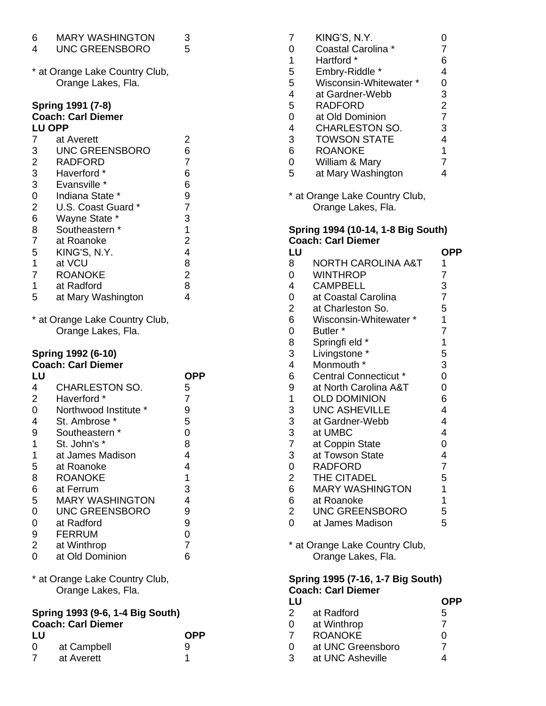| 6<br>4                                                                                                                          | <b>MARY WASHINGTON</b><br><b>UNC GREENSBORO</b>                                                                                                                                                                                                                                                                                                                                          | 3<br>5                                                                                                                                                                        |
|---------------------------------------------------------------------------------------------------------------------------------|------------------------------------------------------------------------------------------------------------------------------------------------------------------------------------------------------------------------------------------------------------------------------------------------------------------------------------------------------------------------------------------|-------------------------------------------------------------------------------------------------------------------------------------------------------------------------------|
|                                                                                                                                 | * at Orange Lake Country Club,<br>Orange Lakes, Fla.                                                                                                                                                                                                                                                                                                                                     |                                                                                                                                                                               |
| <b>LU OPP</b><br>7<br>3<br>23302<br>6<br>8<br>7<br>5<br>$\mathbf 1$<br>$\overline{7}$<br>1<br>5                                 | Spring 1991 (7-8)<br><b>Coach: Carl Diemer</b><br>at Averett<br><b>UNC GREENSBORO</b><br><b>RADFORD</b><br>Haverford *<br>Evansville *<br>Indiana State *<br>U.S. Coast Guard *<br>Wayne State *<br>Southeastern *<br>at Roanoke<br>KING'S, N.Y.<br>at VCU<br><b>ROANOKE</b><br>at Radford<br>at Mary Washington                                                                         | 2<br>6<br>$\overline{7}$<br>6<br>6<br>9<br>$\overline{7}$<br>3<br>$\mathbf 1$<br>$\overline{\mathbf{c}}$<br>$\overline{\mathbf{4}}$<br>8<br>$\overline{\mathbf{c}}$<br>8<br>4 |
|                                                                                                                                 | * at Orange Lake Country Club,<br>Orange Lakes, Fla.                                                                                                                                                                                                                                                                                                                                     |                                                                                                                                                                               |
| LU<br>4<br>$\overline{c}$<br>0<br>4<br>9<br>1<br>$\mathbf 1$<br>5<br>8<br>6<br>5<br>0<br>0<br>9<br>$\overline{\mathbf{c}}$<br>0 | Spring 1992 (6-10)<br><b>Coach: Carl Diemer</b><br><b>CHARLESTON SO.</b><br>Haverford *<br>Northwood Institute *<br>St. Ambrose *<br>Southeastern<br>St. John's *<br>at James Madison<br>at Roanoke<br><b>ROANOKE</b><br>at Ferrum<br><b>MARY WASHINGTON</b><br><b>UNC GREENSBORO</b><br>at Radford<br><b>FERRUM</b><br>at Winthrop<br>at Old Dominion<br>* at Orange Lake Country Club, | <b>OPP</b><br>5<br>$\overline{7}$<br>9<br>5<br>0<br>8<br>4<br>4<br>1<br>3<br>4<br>9<br>9<br>0<br>$\overline{7}$<br>6                                                          |

Orange Lakes, Fla.

### **Spring 1993 (9-6, 1-4 Big South) Coach: Carl Diemer**

| LU |             | <b>OPP</b> |
|----|-------------|------------|
| ∩  | at Campbell | 9          |
|    | at Averett  |            |

| 7 | KING'S, N.Y.           | 0              |
|---|------------------------|----------------|
| 0 | Coastal Carolina *     | 7              |
| 1 | Hartford *             | 6              |
| 5 | Embry-Riddle *         | 4              |
| 5 | Wisconsin-Whitewater * | 0              |
| 4 | at Gardner-Webb        | 3              |
| 5 | <b>RADFORD</b>         | $\overline{2}$ |
| 0 | at Old Dominion        | $\overline{7}$ |
| 4 | <b>CHARLESTON SO.</b>  | 3              |
| 3 | <b>TOWSON STATE</b>    | 4              |
| 6 | <b>ROANOKE</b>         | 1              |
| 0 | William & Mary         | $\overline{7}$ |
| 5 | at Mary Washington     |                |

\* at Orange Lake Country Club, Orange Lakes, Fla.

### **Spring 1994 (10-14, 1-8 Big South) Coach: Carl Diemer**

| LU             |                              | OPP            |
|----------------|------------------------------|----------------|
| 8              | NORTH CAROLINA A&T           | 1              |
| 0              | <b>WINTHROP</b>              | 7              |
| 4              | <b>CAMPBELL</b>              | 3              |
| 0              | at Coastal Carolina          | $\overline{7}$ |
| $\overline{2}$ | at Charleston So.            | 5              |
| 6              | Wisconsin-Whitewater *       | 1              |
| $\overline{0}$ | Butler <sup>*</sup>          | 7              |
| 8              | Springfi eld *               | 1              |
| 3              | Livingstone *                | 5              |
| 4              | Monmouth *                   | 3              |
| 6              | <b>Central Connecticut *</b> | 0              |
| 9              | at North Carolina A&T        | 0              |
| 1              | <b>OLD DOMINION</b>          | 6              |
| 3              | <b>UNC ASHEVILLE</b>         | 4              |
| 3              | at Gardner-Webb              | 4              |
| 3              | at UMBC                      | 4              |
| $\overline{7}$ | at Coppin State              | 0              |
| 3              | at Towson State              | 4              |
| $\overline{0}$ | <b>RADFORD</b>               | $\overline{7}$ |
| $\overline{2}$ | THE CITADEL                  | 5              |
| 6              | <b>MARY WASHINGTON</b>       | $\mathbf 1$    |
| 6              | at Roanoke                   | 1              |
| $\overline{2}$ | <b>UNC GREENSBORO</b>        | 5              |
| 0              | at James Madison             | 5              |
|                |                              |                |

\* at Orange Lake Country Club, Orange Lakes, Fla.

## **Spring 1995 (7-16, 1-7 Big South) Coach: Carl Diemer**

| LU            |                   | OPP |
|---------------|-------------------|-----|
| $\mathcal{P}$ | at Radford        | 5   |
| 0             | at Winthrop       |     |
|               | <b>ROANOKE</b>    | O   |
| 0             | at UNC Greensboro |     |
| З             | at UNC Asheville  |     |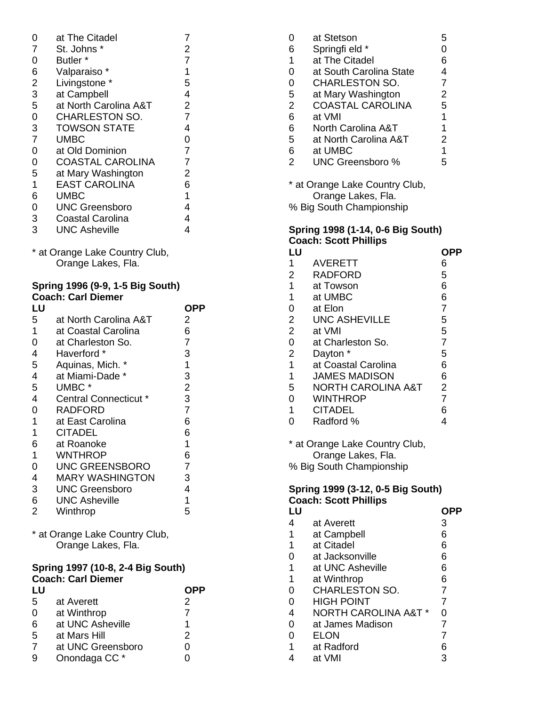| 0              | at The Citadel          |                |
|----------------|-------------------------|----------------|
| $\overline{7}$ | St. Johns *             | 2              |
| 0              | Butler <sup>*</sup>     | $\overline{7}$ |
| 6              | Valparaiso *            | 1              |
| $\overline{2}$ | Livingstone *           | 5              |
| 3              | at Campbell             | 4              |
| 5              | at North Carolina A&T   | $\overline{2}$ |
| $\overline{0}$ | <b>CHARLESTON SO.</b>   | $\overline{7}$ |
| 3              | <b>TOWSON STATE</b>     | 4              |
| $\overline{7}$ | <b>UMBC</b>             | 0              |
| 0              | at Old Dominion         | $\overline{7}$ |
| $\overline{0}$ | COASTAL CAROLINA        | $\overline{7}$ |
| 5              | at Mary Washington      | 2              |
| 1              | <b>EAST CAROLINA</b>    | 6              |
| 6              | UMBC                    | 1              |
| 0              | <b>UNC Greensboro</b>   | 4              |
| 3              | <b>Coastal Carolina</b> | 4              |
| 3              | <b>UNC Asheville</b>    | 4              |

\* at Orange Lake Country Club, Orange Lakes, Fla.

### **Spring 1996 (9-9, 1-5 Big South) Coach: Carl Diemer**

| LU |                        | OPP            |
|----|------------------------|----------------|
| 5  | at North Carolina A&T  | 2              |
| 1  | at Coastal Carolina    | 6              |
| 0  | at Charleston So.      | 7              |
| 4  | Haverford *            | 3              |
| 5  | Aquinas, Mich. *       | 1              |
| 4  | at Miami-Dade *        | 3              |
| 5  | UMBC <sup>*</sup>      | $\overline{2}$ |
| 4  | Central Connecticut *  | 3              |
| 0  | RADFORD                | $\overline{7}$ |
| 1  | at East Carolina       | 6              |
| 1  | CITADEL                | 6              |
| 6  | at Roanoke             | 1              |
| 1  | WNTHROP                | 6              |
| 0  | <b>UNC GREENSBORO</b>  | $\overline{7}$ |
| 4  | <b>MARY WASHINGTON</b> | 3              |
| 3  | <b>UNC Greensboro</b>  | 4              |
| 6  | <b>UNC Asheville</b>   | 1              |
| 2  | Winthrop               | 5              |
|    |                        |                |

\* at Orange Lake Country Club, Orange Lakes, Fla.

### **Spring 1997 (10-8, 2-4 Big South) Coach: Carl Diemer**

| LU |                          |               |
|----|--------------------------|---------------|
| 5  | at Averett               | 2             |
| 0  | at Winthrop              |               |
| 6  | at UNC Asheville         |               |
| 5  | at Mars Hill             | $\mathcal{P}$ |
|    | at UNC Greensboro        | ი             |
| 9  | Onondaga CC <sup>*</sup> |               |

| 0              | at Stetson              | 5              |
|----------------|-------------------------|----------------|
| 6              | Springfi eld *          | 0              |
| 1              | at The Citadel          | 6              |
| 0              | at South Carolina State | 4              |
| $\overline{0}$ | <b>CHARLESTON SO.</b>   | $\overline{7}$ |
| 5              | at Mary Washington      | 2              |
| $\overline{2}$ | <b>COASTAL CAROLINA</b> | 5              |
| 6              | at VMI                  | 1              |
| 6              | North Carolina A&T      | 1              |
| 5              | at North Carolina A&T   | 2              |
| 6              | at UMBC                 | 1              |
| $\overline{2}$ | <b>UNC Greensboro %</b> | 5              |

\* at Orange Lake Country Club, Orange Lakes, Fla. % Big South Championship

## **Spring 1998 (1-14, 0-6 Big South) Coach: Scott Phillips**

| LU             |                      | OPP            |
|----------------|----------------------|----------------|
| 1              | <b>AVERETT</b>       | 6              |
| 2              | RADFORD              | 5              |
| 1              | at Towson            | 6              |
| 1              | at UMBC              | 6              |
| 0              | at Elon              | $\overline{7}$ |
| $\overline{2}$ | <b>UNC ASHEVILLE</b> | 5              |
| 2              | at VMI               | 5              |
| $\overline{0}$ | at Charleston So.    | $\overline{7}$ |
| $\overline{2}$ | Dayton *             | 5              |
| 1              | at Coastal Carolina  | 6              |
| 1              | <b>JAMES MADISON</b> | 6              |
| 5              | NORTH CAROLINA A&T   | 2              |
| $\Omega$       | <b>WINTHROP</b>      | 7              |
| 1              | <b>CITADEL</b>       | 6              |
| 0              | Radford %            | 4              |

\* at Orange Lake Country Club, Orange Lakes, Fla. % Big South Championship

# **Spring 1999 (3-12, 0-5 Big South) Coach: Scott Phillips**

| LU |                                 |   |
|----|---------------------------------|---|
| 4  | at Averett                      | 3 |
| 1  | at Campbell                     | 6 |
| 1  | at Citadel                      | 6 |
| 0  | at Jacksonville                 | 6 |
| 1  | at UNC Asheville                | 6 |
| 1  | at Winthrop                     | 6 |
| 0  | <b>CHARLESTON SO.</b>           | 7 |
| 0  | HIGH POINT                      | 7 |
| 4  | <b>NORTH CAROLINA A&amp;T *</b> | 0 |
| 0  | at James Madison                | 7 |
| 0  | ELON                            | 7 |
| 1  | at Radford                      | 6 |
| 4  | at VMI                          | 3 |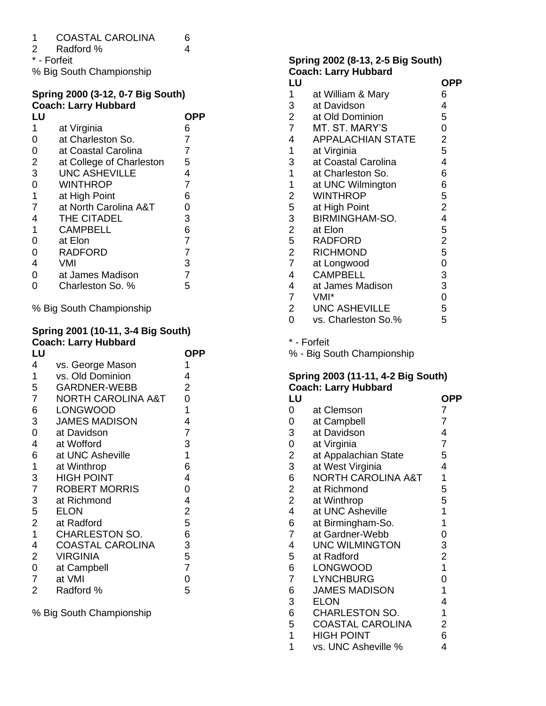| $\boldsymbol{A}$ | <b>COASTAL CAROLINA</b> |  |
|------------------|-------------------------|--|
|                  |                         |  |

Radford % 4

\* - Forfeit

% Big South Championship

# **Spring 2000 (3-12, 0-7 Big South) Coach: Larry Hubbard**

| LU             |                          | OPP            |
|----------------|--------------------------|----------------|
| 1              | at Virginia              | 6              |
| 0              | at Charleston So.        | 7              |
| 0              | at Coastal Carolina      | 7              |
| $\overline{2}$ | at College of Charleston | 5              |
| 3              | <b>UNC ASHEVILLE</b>     | 4              |
| 0              | <b>WINTHROP</b>          | 7              |
| 1              | at High Point            | 6              |
| 7              | at North Carolina A&T    | 0              |
| 4              | THE CITADEL              | 3              |
| 1              | CAMPBELL                 | 6              |
| 0              | at Elon                  | $\overline{7}$ |
| 0              | <b>RADFORD</b>           | $\overline{7}$ |
| 4              | VMI                      | 3              |
| 0              | at James Madison         | 7              |
| 0              | Charleston So. %         | 5              |

% Big South Championship

# **Spring 2001 (10-11, 3-4 Big South) Coach: Larry Hubbard**

| LU             |                               | <b>OPP</b>     |
|----------------|-------------------------------|----------------|
| 4              | vs. George Mason              | 1              |
| 1              | vs. Old Dominion              | 4              |
| 5              | <b>GARDNER-WEBB</b>           | 2              |
| $\overline{7}$ | <b>NORTH CAROLINA A&amp;T</b> | 0              |
| 6              | <b>LONGWOOD</b>               | 1              |
| 3              | <b>JAMES MADISON</b>          | 4              |
| 0              | at Davidson                   | 7              |
| 4              | at Wofford                    | 3              |
| 6              | at UNC Asheville              | 1              |
| $\mathbf 1$    | at Winthrop                   | 6              |
| 3              | <b>HIGH POINT</b>             | 4              |
| $\overline{7}$ | <b>ROBERT MORRIS</b>          | 0              |
| 3              | at Richmond                   | 4              |
| 5              | <b>ELON</b>                   | $\overline{2}$ |
| $\overline{2}$ | at Radford                    | 5              |
| $\mathbf 1$    | <b>CHARLESTON SO.</b>         | 6              |
| 4              | <b>COASTAL CAROLINA</b>       | 3              |
| $\overline{2}$ | <b>VIRGINIA</b>               | 5              |
| $\overline{0}$ | at Campbell                   | $\overline{7}$ |
| $\overline{7}$ | at VMI                        | 0              |
| $\overline{2}$ | Radford %                     | 5              |
|                |                               |                |

% Big South Championship

### **Spring 2002 (8-13, 2-5 Big South) Coach: Larry Hubbard**

|                         | <b>OVAVIII.</b> LAITY TIUNNATU |                |
|-------------------------|--------------------------------|----------------|
| LU                      |                                | OPP            |
| $\mathbf{1}$            | at William & Mary              | 6              |
| 3                       | at Davidson                    | 4              |
| $\overline{2}$          | at Old Dominion                | 5              |
| $\overline{7}$          | MT. ST. MARY'S                 | 0              |
| 4                       | <b>APPALACHIAN STATE</b>       | 2              |
| 1                       | at Virginia                    | 5              |
| 3                       | at Coastal Carolina            | 4              |
| $\mathbf 1$             | at Charleston So.              | 6              |
| $\mathbf{1}$            | at UNC Wilmington              | 6              |
| $\overline{\mathbf{c}}$ | <b>WINTHROP</b>                | 5              |
| 5                       | at High Point                  | $\overline{2}$ |
| 3                       | <b>BIRMINGHAM-SO.</b>          | 4              |
| $\overline{2}$          | at Elon                        | 5              |
| 5                       | <b>RADFORD</b>                 | $\overline{2}$ |
| $\overline{2}$          | <b>RICHMOND</b>                | 5              |
| $\overline{7}$          | at Longwood                    | $\mathbf 0$    |
| 4                       | <b>CAMPBELL</b>                | 3              |
| 4                       | at James Madison               | 3              |
| $\overline{7}$          | VMI*                           | $\mathbf 0$    |
| $\overline{2}$          | <b>UNC ASHEVILLE</b>           | 5              |
| 0                       | vs. Charleston So.%            | 5              |
|                         |                                |                |

\* - Forfeit

% - Big South Championship

# **Spring 2003 (11-11, 4-2 Big South) Coach: Larry Hubbard**

| LU                       |                         | OPP            |
|--------------------------|-------------------------|----------------|
| 0                        | at Clemson              | 7              |
| 0                        | at Campbell             | $\overline{7}$ |
| 3                        | at Davidson             | 4              |
| $\mathbf 0$              | at Virginia             | $\overline{7}$ |
| $\overline{\mathbf{c}}$  | at Appalachian State    | 5              |
| 3                        | at West Virginia        | 4              |
| 6                        | NORTH CAROLINA A&T      | 1              |
| $\overline{2}$           | at Richmond             | 5              |
| $\overline{c}$           | at Winthrop             | 5              |
| $\overline{\mathcal{A}}$ | at UNC Asheville        | 1              |
| 6                        | at Birmingham-So.       | 1              |
| $\overline{7}$           | at Gardner-Webb         | 0              |
| 4                        | <b>UNC WILMINGTON</b>   | 3              |
| 5                        | at Radford              | $\overline{2}$ |
| 6                        | <b>LONGWOOD</b>         | $\overline{1}$ |
| $\overline{7}$           | <b>LYNCHBURG</b>        | 0              |
| 6                        | <b>JAMES MADISON</b>    | 1              |
| 3                        | <b>ELON</b>             | 4              |
| 6                        | <b>CHARLESTON SO.</b>   | 1              |
| 5                        | <b>COASTAL CAROLINA</b> | 2              |
| 1                        | <b>HIGH POINT</b>       | 6              |
| 1                        | vs. UNC Asheville %     | 4              |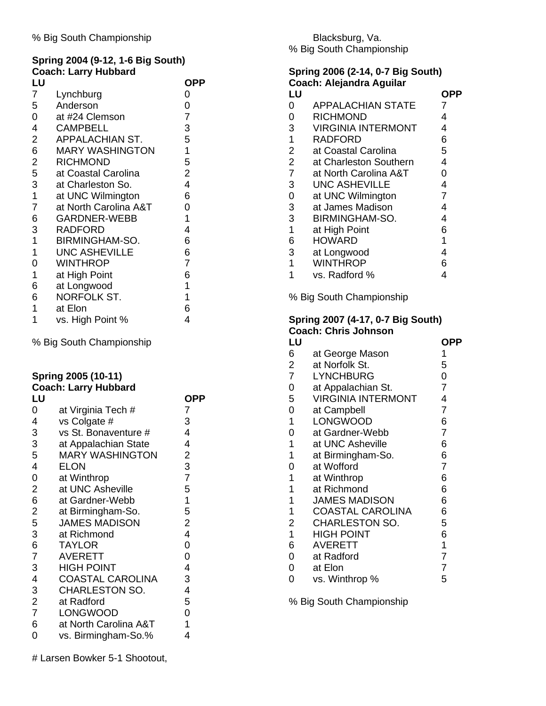# **Spring 2004 (9-12, 1-6 Big South) Coach: Larry Hubbard**

| LU             |                        | OPP            |
|----------------|------------------------|----------------|
| 7              | Lynchburg              | 0              |
| 5              | Anderson               | 0              |
| 0              | at #24 Clemson         | $\overline{7}$ |
| 4              | <b>CAMPBELL</b>        | 3              |
| $\overline{2}$ | APPALACHIAN ST.        | 5              |
| 6              | <b>MARY WASHINGTON</b> | 1              |
| $\overline{2}$ | <b>RICHMOND</b>        | 5              |
| 5              | at Coastal Carolina    | $\overline{2}$ |
| 3              | at Charleston So.      | 4              |
| $\mathbf 1$    | at UNC Wilmington      | 6              |
| $\overline{7}$ | at North Carolina A&T  | 0              |
| 6              | <b>GARDNER-WEBB</b>    | 1              |
| 3              | <b>RADFORD</b>         | 4              |
| $\mathbf 1$    | <b>BIRMINGHAM-SO.</b>  | 6              |
| 1              | <b>UNC ASHEVILLE</b>   | 6              |
| 0              | <b>WINTHROP</b>        | 7              |
| 1              | at High Point          | 6              |
| 6              | at Longwood            | 1              |
| 6              | NORFOLK ST.            | 1              |
| 1              | at Elon                | 6              |
| 1              | vs. High Point %       | 4              |

% Big South Championship

# **Spring 2005 (10-11) Coach: Larry Hubbard**

| OPP            |
|----------------|
| 7              |
| 3              |
| 4              |
| 4              |
| 2              |
| 3              |
| $\overline{7}$ |
| 5              |
| 1              |
| 5              |
| $\overline{2}$ |
| 4              |
| 0              |
| 0              |
| 4              |
| 3              |
| 4              |
| 5              |
| 0              |
| 1              |
| 4              |
|                |

# Larsen Bowker 5-1 Shootout,

### Blacksburg, Va. % Big South Championship

### **Spring 2006 (2-14, 0-7 Big South) Coach: Alejandra Aguilar**

| LU             |                           |                |
|----------------|---------------------------|----------------|
| 0              | <b>APPALACHIAN STATE</b>  | 7              |
| $\overline{0}$ | <b>RICHMOND</b>           | 4              |
| 3              | <b>VIRGINIA INTERMONT</b> | 4              |
| 1              | <b>RADFORD</b>            | 6              |
| $\overline{2}$ | at Coastal Carolina       | 5              |
| $\overline{2}$ | at Charleston Southern    | 4              |
| $\overline{7}$ | at North Carolina A&T     | 0              |
| 3              | <b>UNC ASHEVILLE</b>      | 4              |
| $\overline{0}$ | at UNC Wilmington         | $\overline{7}$ |
| 3              | at James Madison          | 4              |
| 3              | BIRMINGHAM-SO.            | 4              |
| 1              | at High Point             | 6              |
| 6              | <b>HOWARD</b>             | 1              |
| 3              | at Longwood               | 4              |
| 1              | <b>WINTHROP</b>           | 6              |
|                | vs. Radford %             | 4              |

% Big South Championship

# **Spring 2007 (4-17, 0-7 Big South) Coach: Chris Johnson**

| LU             |                           | OPP            |
|----------------|---------------------------|----------------|
| 6              | at George Mason           | 1              |
| $\overline{2}$ | at Norfolk St.            | 5              |
| $\overline{7}$ | <b>LYNCHBURG</b>          | 0              |
| 0              | at Appalachian St.        | $\overline{7}$ |
| 5              | <b>VIRGINIA INTERMONT</b> | 4              |
| 0              | at Campbell               | 7              |
| 1              | <b>LONGWOOD</b>           | 6              |
| 0              | at Gardner-Webb           | $\overline{7}$ |
| 1              | at UNC Asheville          | 6              |
| 1              | at Birmingham-So.         | 6              |
| $\overline{0}$ | at Wofford                | $\overline{7}$ |
| 1              | at Winthrop               | 6              |
| 1              | at Richmond               | 6              |
| 1              | <b>JAMES MADISON</b>      | 6              |
| 1              | <b>COASTAL CAROLINA</b>   | 6              |
| $\overline{2}$ | <b>CHARLESTON SO.</b>     | 5              |
| $\mathbf 1$    | <b>HIGH POINT</b>         | 6              |
| 6              | <b>AVERETT</b>            | 1              |
| 0              | at Radford                | 7              |
| 0              | at Elon                   | 7              |
| 0              | vs. Winthrop %            | 5              |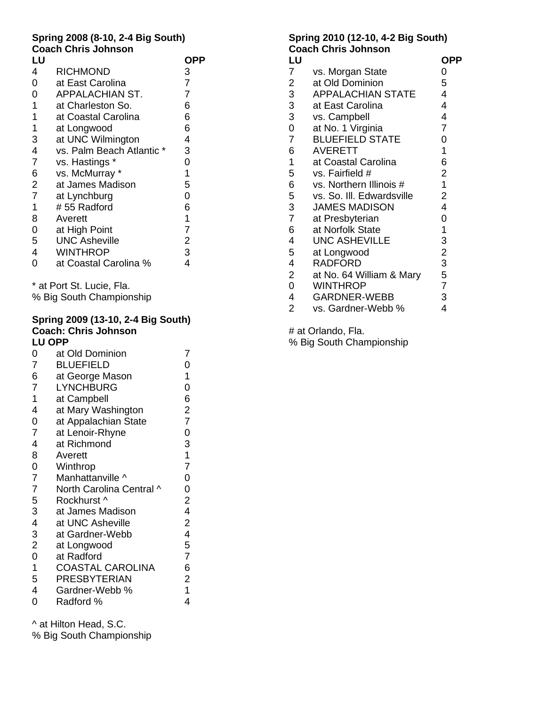# **Spring 2008 (8-10, 2-4 Big South) Coach Chris Johnson**

| LU             |                          | OPP            |
|----------------|--------------------------|----------------|
| 4              | <b>RICHMOND</b>          | 3              |
| $\overline{0}$ | at East Carolina         | $\overline{7}$ |
| $\overline{0}$ | <b>APPALACHIAN ST.</b>   | $\overline{7}$ |
| 1              | at Charleston So.        | 6              |
| 1              | at Coastal Carolina      | 6              |
| 1              | at Longwood              | 6              |
| 3              | at UNC Wilmington        | 4              |
| $\overline{4}$ | vs. Palm Beach Atlantic* | 3              |
| $\overline{7}$ | vs. Hastings *           | 0              |
| 6              | vs. McMurray *           | 1              |
| $\overline{2}$ | at James Madison         | 5              |
| $\overline{7}$ | at Lynchburg             | $\overline{0}$ |
| 1              | #55 Radford              | 6              |
| 8              | Averett                  | 1              |
| $\overline{0}$ | at High Point            | $\overline{7}$ |
| 5              | <b>UNC Asheville</b>     | 2              |
| $\overline{4}$ | <b>WINTHROP</b>          | 3              |
| 0              | at Coastal Carolina %    | 4              |
|                |                          |                |

\* at Port St. Lucie, Fla.

% Big South Championship

### **Spring 2009 (13-10, 2-4 Big South) Coach: Chris Johnson LU OPP**

| 0              | at Old Dominion          | 7              |
|----------------|--------------------------|----------------|
| $\overline{7}$ | <b>BLUEFIELD</b>         | 0              |
| 6              | at George Mason          | 1              |
| $\overline{7}$ | <b>LYNCHBURG</b>         | 0              |
| 1              | at Campbell              | 6              |
| 4              | at Mary Washington       | $\overline{2}$ |
| $\overline{0}$ | at Appalachian State     | 7              |
| $\overline{7}$ | at Lenoir-Rhyne          | 0              |
| 4              | at Richmond              | 3              |
| 8              | Averett                  | 1              |
| 0              | Winthrop                 | $\overline{7}$ |
| $\overline{7}$ | Manhattanville ^         | 0              |
| $\overline{7}$ | North Carolina Central ^ | 0              |
| 5              | Rockhurst ^              | $\overline{2}$ |
| 3              | at James Madison         | 4              |
| 4              | at UNC Asheville         | $\overline{2}$ |
| 3              | at Gardner-Webb          | 4              |
| $\overline{2}$ | at Longwood              | 5              |
| $\overline{0}$ | at Radford               | $\overline{7}$ |
| 1              | <b>COASTAL CAROLINA</b>  | 6              |
| 5              | <b>PRESBYTERIAN</b>      | 2              |
| 4              | Gardner-Webb %           | 1              |
| 0              | Radford %                | 4              |

^ at Hilton Head, S.C.

% Big South Championship

## **Spring 2010 (12-10, 4-2 Big South) Coach Chris Johnson**

| LU             |                           | OPP            |
|----------------|---------------------------|----------------|
| 7              | vs. Morgan State          | 0              |
| $\overline{2}$ | at Old Dominion           | 5              |
| $\mathbf{3}$   | <b>APPALACHIAN STATE</b>  | $\overline{4}$ |
| $\mathbf{3}$   | at East Carolina          | $\overline{4}$ |
| $\mathbf{3}$   | vs. Campbell              | 4              |
| 0              | at No. 1 Virginia         | $\overline{7}$ |
| $\overline{7}$ | <b>BLUEFIELD STATE</b>    | 0              |
| 6              | <b>AVERETT</b>            | 1              |
| 1              | at Coastal Carolina       | 6              |
| 5              | vs. Fairfield #           | $\overline{2}$ |
| 6              | vs. Northern Illinois #   | $\overline{1}$ |
| 5              | vs. So. III. Edwardsville | $\overline{2}$ |
| 3              | <b>JAMES MADISON</b>      | $\overline{4}$ |
| $\overline{7}$ | at Presbyterian           | 0              |
| 6              | at Norfolk State          | 1              |
| 4              | <b>UNC ASHEVILLE</b>      | 3              |
| 5              | at Longwood               | $\overline{c}$ |
| 4              | <b>RADFORD</b>            | 3              |
| 2 <sup>1</sup> | at No. 64 William & Mary  | 5              |
| $\overline{0}$ | <b>WINTHROP</b>           | $\overline{7}$ |
| 4              | <b>GARDNER-WEBB</b>       | 3              |
| $\overline{2}$ | vs. Gardner-Webb %        | 4              |

# at Orlando, Fla.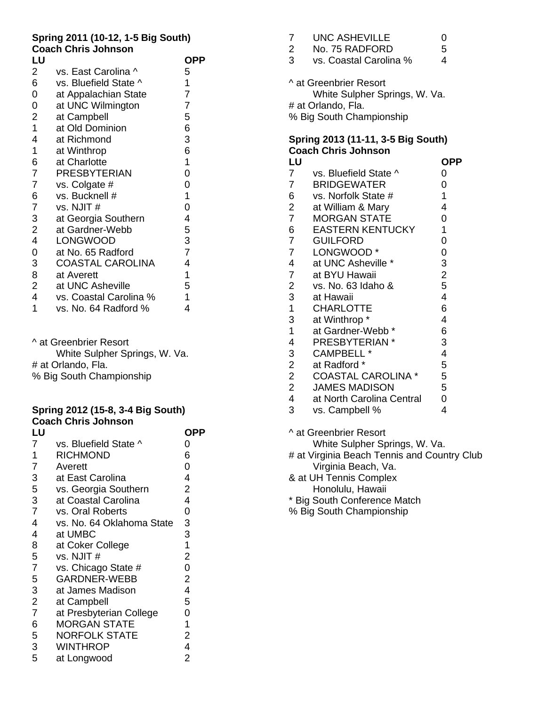# **Spring 2011 (10-12, 1-5 Big South) Coach Chris Johnson**

| LU               |                         | OPP            |
|------------------|-------------------------|----------------|
| 2                | vs. East Carolina ^     | 5              |
| 6                | vs. Bluefield State ^   | 1              |
| $\boldsymbol{0}$ | at Appalachian State    | $\overline{7}$ |
| 0                | at UNC Wilmington       | 7              |
| $\overline{2}$   | at Campbell             | 5              |
| $\mathbf{1}$     | at Old Dominion         | 6              |
| 4                | at Richmond             | 3              |
| 1                | at Winthrop             | 6              |
| 6                | at Charlotte            | 1              |
| $\overline{7}$   | <b>PRESBYTERIAN</b>     | 0              |
| $\overline{7}$   | vs. Colgate #           | 0              |
| 6                | vs. Bucknell #          | 1              |
| $\overline{7}$   | vs. NJIT#               | 0              |
| 3                | at Georgia Southern     | 4              |
| $\overline{2}$   | at Gardner-Webb         | 5              |
| 4                | <b>LONGWOOD</b>         | 3              |
| 0                | at No. 65 Radford       | $\overline{7}$ |
| 3                | <b>COASTAL CAROLINA</b> | 4              |
| 8                | at Averett              | 1              |
| $\overline{2}$   | at UNC Asheville        | 5              |
| 4                | vs. Coastal Carolina %  | 1              |
| 1                | vs. No. 64 Radford %    | 4              |

^ at Greenbrier Resort White Sulpher Springs, W. Va. # at Orlando, Fla. % Big South Championship

#### **Spring 2012 (15-8, 3-4 Big South) Coach Chris Johnson**

|                | ווטט טוו                  |                |
|----------------|---------------------------|----------------|
| LU             |                           | OPP            |
| $\overline{7}$ | vs. Bluefield State ^     | 0              |
| 1              | <b>RICHMOND</b>           | 6              |
| 7              | Averett                   | 0              |
| 3              | at East Carolina          | 4              |
| 5              | vs. Georgia Southern      | 2              |
| 3              | at Coastal Carolina       | 4              |
| $\overline{7}$ | vs. Oral Roberts          | 0              |
| 4              | vs. No. 64 Oklahoma State | 3              |
| 4              | at UMBC                   | 3              |
| 8              | at Coker College          | 1              |
| 5              | vs. NJIT#                 | $\overline{2}$ |
| $\overline{7}$ | vs. Chicago State #       | 0              |
| 5              | <b>GARDNER-WEBB</b>       | 2              |
| 3              | at James Madison          | 4              |
| $\overline{2}$ | at Campbell               | 5              |
| $\overline{7}$ | at Presbyterian College   | 0              |
| 6              | <b>MORGAN STATE</b>       | 1              |
| 5              | <b>NORFOLK STATE</b>      | 2              |
| 3              | <b>WINTHROP</b>           | 4              |
| 5              | at Longwood               | 2              |
|                |                           |                |

| 7              | <b>UNC ASHEVILLE</b>                                                                                      | 0 |
|----------------|-----------------------------------------------------------------------------------------------------------|---|
| $\overline{2}$ | No. 75 RADFORD                                                                                            | 5 |
| 3              | vs. Coastal Carolina %                                                                                    | 4 |
|                | ^ at Greenbrier Resort<br>White Sulpher Springs, W. Va.<br># at Orlando, Fla.<br>% Big South Championship |   |

# **Spring 2013 (11-11, 3-5 Big South) Coach Chris Johnson**

| LU                      |                                             | <b>OPP</b>     |
|-------------------------|---------------------------------------------|----------------|
| $\overline{7}$          | vs. Bluefield State ^                       | 0              |
| $\overline{7}$          | <b>BRIDGEWATER</b>                          | 0              |
| 6                       | vs. Norfolk State #                         | 1              |
| $\overline{c}$          | at William & Mary                           | 4              |
| $\overline{7}$          | <b>MORGAN STATE</b>                         | 0              |
| 6                       | <b>EASTERN KENTUCKY</b>                     | 1              |
| $\overline{7}$          | <b>GUILFORD</b>                             | 0              |
| $\overline{7}$          | LONGWOOD*                                   | 0              |
| $\overline{4}$          | at UNC Asheville *                          | 3              |
| $\overline{7}$          | at BYU Hawaii                               | $\overline{c}$ |
| $\overline{\mathbf{c}}$ | vs. No. 63 Idaho &                          | 5              |
| 3                       | at Hawaii                                   | 4              |
| $\mathbf 1$             | <b>CHARLOTTE</b>                            | 6              |
| 3                       | at Winthrop *                               | 4              |
| $\mathbf 1$             | at Gardner-Webb <sup>*</sup>                | 6              |
| 4                       | PRESBYTERIAN *                              | 3              |
| 3                       | <b>CAMPBELL *</b>                           | 4              |
| $\overline{\mathbf{c}}$ | at Radford *                                | 5              |
| $\overline{c}$          | <b>COASTAL CAROLINA *</b>                   | 5              |
| $\overline{c}$          | <b>JAMES MADISON</b>                        | 5              |
| $\overline{\mathbf{4}}$ | at North Carolina Central                   | 0              |
| 3                       | vs. Campbell %                              | 4              |
|                         | ^ at Greenbrier Resort                      |                |
|                         | White Sulpher Springs, W. Va.               |                |
|                         | # at Virginia Beach Tennis and Country Club |                |
|                         | Virginia Beach, Va.                         |                |
|                         | & at UH Tennis Complex                      |                |
|                         | Honolulu, Hawaii                            |                |

\* Big South Conference Match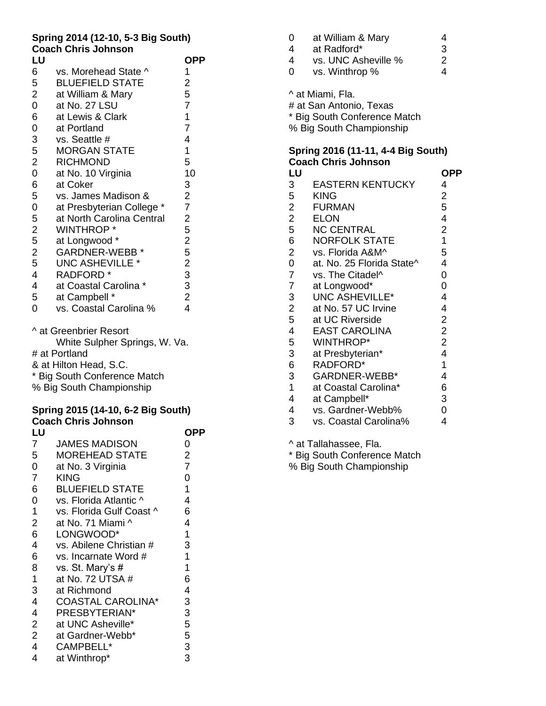## **Spring 2014 (12-10, 5-3 Big South) Coach Chris Johnson**

| LU                      |                                    | <b>OPP</b>              |
|-------------------------|------------------------------------|-------------------------|
| 6                       | vs. Morehead State ^               | 1                       |
| 5                       | <b>BLUEFIELD STATE</b>             | $\overline{\mathbf{c}}$ |
| $\overline{c}$          | at William & Mary                  | 5                       |
| $\mathbf 0$             | at No. 27 LSU                      | $\overline{7}$          |
| 6                       | at Lewis & Clark                   | $\mathbf 1$             |
| $\mathbf 0$             | at Portland                        | $\overline{7}$          |
| 3                       | vs. Seattle #                      | 4                       |
| $\frac{5}{2}$           | <b>MORGAN STATE</b>                | 1                       |
|                         | <b>RICHMOND</b>                    | 5                       |
| $\overline{0}$          | at No. 10 Virginia                 | 10                      |
| 6                       | at Coker                           | 3                       |
| 5                       | vs. James Madison &                | $\frac{2}{7}$           |
| $\boldsymbol{0}$        | at Presbyterian College *          |                         |
| 5                       | at North Carolina Central          | $\frac{2}{5}$           |
| $\frac{2}{5}$           | <b>WINTHROP*</b>                   |                         |
|                         | at Longwood *                      | 2523324                 |
| $rac{2}{5}$             | <b>GARDNER-WEBB*</b>               |                         |
|                         | <b>UNC ASHEVILLE *</b>             |                         |
| $\overline{\mathbf{r}}$ | <b>RADFORD</b> *                   |                         |
| 4                       | at Coastal Carolina *              |                         |
| 5                       | at Campbell *                      |                         |
| 0                       | vs. Coastal Carolina %             |                         |
|                         | ^ at Greenbrier Resort             |                         |
|                         | White Sulpher Springs, W. Va.      |                         |
|                         | # at Portland                      |                         |
|                         | & at Hilton Head, S.C.             |                         |
|                         | * Big South Conference Match       |                         |
|                         | % Big South Championship           |                         |
|                         | Spring 2015 (14-10, 6-2 Big South) |                         |

|                | <b>Coach Chris Johnson</b> |                |
|----------------|----------------------------|----------------|
| LU             |                            | OPP            |
| $\overline{7}$ | <b>JAMES MADISON</b>       | 0              |
| 5              | <b>MOREHEAD STATE</b>      | $\overline{2}$ |
| $\mathbf 0$    | at No. 3 Virginia          | $\overline{7}$ |
| $\overline{7}$ | KING                       | 0              |
| 6              | <b>BLUEFIELD STATE</b>     | 1              |
| 0              | vs. Florida Atlantic ^     | 4              |
| $\mathbf{1}$   | vs. Florida Gulf Coast ^   | 6              |
| $\overline{2}$ | at No. 71 Miami ^          | 4              |
| 6              | LONGWOOD*                  | 1              |
| 4              | vs. Abilene Christian #    | 3              |
| 6              | vs. Incarnate Word #       | $\mathbf 1$    |
| 8              | vs. St. Mary's #           | 1              |
| $\mathbf 1$    | at No. 72 UTSA #           | 6              |
| 3              | at Richmond                | 4              |
| $\overline{4}$ | <b>COASTAL CAROLINA*</b>   | 3              |
| $\overline{4}$ | PRESBYTERIAN*              | 3              |
| $\overline{2}$ | at UNC Asheville*          | 5              |
| 2 <sup>1</sup> | at Gardner-Webb*           | 5              |
| 4              | CAMPBELL*                  | 3              |
| 4              | at Winthrop*               | 3              |

| 0 | at William & Mary   | 4 |
|---|---------------------|---|
| 4 | at Radford*         | 3 |
| 4 | vs. UNC Asheville % | 2 |
| 0 | vs. Winthrop %      | 4 |
|   | ^ at Miami, Fla.    |   |

# at San Antonio, Texas

\* Big South Conference Match

% Big South Championship

# **Spring 2016 (11-11, 4-4 Big South) Coach Chris Johnson**

| LU                      |                           | <b>OPP</b>     |
|-------------------------|---------------------------|----------------|
| 3                       | <b>EASTERN KENTUCKY</b>   | 4              |
| $\overline{5}$          | KING                      | 2              |
| $\overline{c}$          | <b>FURMAN</b>             | 5              |
| $\frac{1}{2}$           | <b>ELON</b>               | 4              |
|                         | <b>NC CENTRAL</b>         | 2              |
| 6                       | <b>NORFOLK STATE</b>      | 1              |
| $\frac{2}{0}$           | vs. Florida A&M^          | 5              |
|                         | at. No. 25 Florida State^ | 4              |
| $\overline{7}$          | vs. The Citadel^          | 0              |
| $\overline{7}$          | at Longwood*              | 0              |
| 3                       | <b>UNC ASHEVILLE*</b>     | 4              |
| $\frac{2}{5}$           | at No. 57 UC Irvine       | 4              |
|                         | at UC Riverside           | 2              |
| $\overline{\mathbf{4}}$ | <b>EAST CAROLINA</b>      | $\overline{2}$ |
| 5                       | <b>WINTHROP*</b>          | $\overline{2}$ |
| 3                       | at Presbyterian*          | 4              |
| 6                       | RADFORD*                  | 1              |
| 3                       | GARDNER-WEBB*             | 4              |
| $\overline{1}$          | at Coastal Carolina*      | 6              |
| 4                       | at Campbell*              | 3              |
| 4                       | vs. Gardner-Webb%         | 0              |
| 3                       | vs. Coastal Carolina%     | 4              |
|                         |                           |                |

^ at Tallahassee, Fla.

\* Big South Conference Match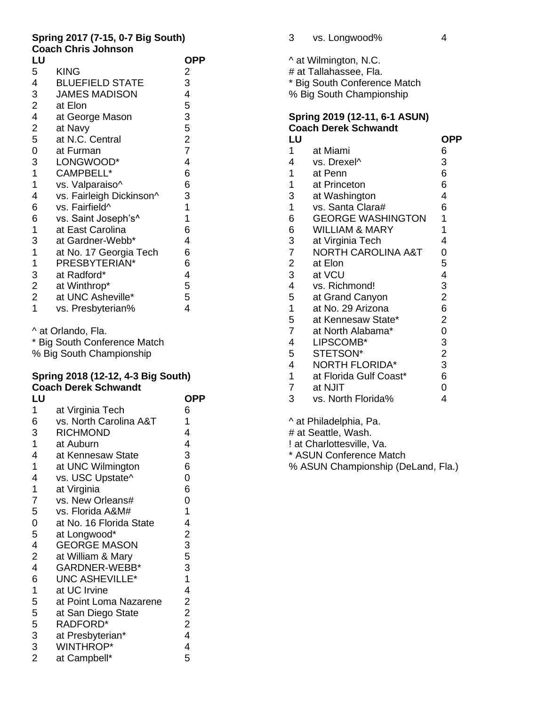## **Spring 2017 (7-15, 0-7 Big South) Coach Chris Johnson**

| LU                      |                          | OPP            |
|-------------------------|--------------------------|----------------|
| 5                       | <b>KING</b>              | 2              |
| 4                       | <b>BLUEFIELD STATE</b>   | 3              |
| 3                       | <b>JAMES MADISON</b>     | 4              |
| $\overline{2}$          | at Elon                  | 5              |
| $\overline{\mathbf{4}}$ | at George Mason          | 3              |
| $\overline{2}$          | at Navy                  | 5              |
| 5                       | at N.C. Central          | $\overline{2}$ |
| 0                       | at Furman                | $\overline{7}$ |
| 3                       | LONGWOOD*                | 4              |
| 1                       | CAMPBELL*                | 6              |
| 1                       | vs. Valparaiso^          | 6              |
| 4                       | vs. Fairleigh Dickinson^ | 3              |
| 6                       | vs. Fairfield^           | $\mathbf 1$    |
| 6                       | vs. Saint Joseph's^      | 1              |
| 1                       | at East Carolina         | 6              |
| 3                       | at Gardner-Webb*         | 4              |
| 1                       | at No. 17 Georgia Tech   | 6              |
| 1                       | PRESBYTERIAN*            | 6              |
| 3                       | at Radford*              | 4              |
| $\mathbf 2$             | at Winthrop*             | 5              |
| $\overline{2}$          | at UNC Asheville*        | 5              |
| $\overline{1}$          | vs. Presbyterian%        | 4              |
|                         |                          |                |

^ at Orlando, Fla.

\* Big South Conference Match % Big South Championship

### **Spring 2018 (12-12, 4-3 Big South) Coach Derek Schwandt**

| LU             |                         | OPP                     |
|----------------|-------------------------|-------------------------|
| $\mathbf 1$    | at Virginia Tech        | 6                       |
| 6              | vs. North Carolina A&T  | 1                       |
| 3              | <b>RICHMOND</b>         | 4                       |
| $\mathbf 1$    | at Auburn               | 4                       |
| 4              | at Kennesaw State       | 3                       |
| 1              | at UNC Wilmington       | 6                       |
| 4              | vs. USC Upstate^        | 0                       |
| $\mathbf 1$    | at Virginia             | 6                       |
| 7              | vs. New Orleans#        | $\overline{0}$          |
| 5              | vs. Florida A&M#        | 1                       |
| $\mathbf 0$    | at No. 16 Florida State | 4                       |
| 5              | at Longwood*            | $\mathbf 2$             |
| 4              | <b>GEORGE MASON</b>     | 3                       |
| $\overline{c}$ | at William & Mary       | 5                       |
| 4              | GARDNER-WEBB*           | 3                       |
| 6              | <b>UNC ASHEVILLE*</b>   | $\mathbf 1$             |
| $\mathbf 1$    | at UC Irvine            | 4                       |
| 5              | at Point Loma Nazarene  | $\overline{2}$          |
| 5              | at San Diego State      | $\overline{2}$          |
| 5              | RADFORD*                | $\overline{2}$          |
| 3              | at Presbyterian*        | $\overline{\mathbf{4}}$ |
| $\overline{3}$ | <b>WINTHROP*</b>        | 4                       |
| $\overline{2}$ | at Campbell*            | 5                       |
|                |                         |                         |

| 3 | vs. Longwood% |  |
|---|---------------|--|
|   |               |  |

^ at Wilmington, N.C. # at Tallahassee, Fla. \* Big South Conference Match % Big South Championship

# **Spring 2019 (12-11, 6-1 ASUN) Coach Derek Schwandt**

| LU                      |                               | <b>OPP</b>     |
|-------------------------|-------------------------------|----------------|
| $\mathbf{1}$            | at Miami                      | 6              |
| 4                       | vs. Drexel <sup>^</sup>       | 3              |
| 1                       | at Penn                       | 6              |
| $\mathbf 1$             | at Princeton                  | 6              |
| 3                       | at Washington                 | 4              |
| $\overline{1}$          | vs. Santa Clara#              | 6              |
| 6                       | <b>GEORGE WASHINGTON</b>      | 1              |
| 6                       | <b>WILLIAM &amp; MARY</b>     | 1              |
| 3                       | at Virginia Tech              | 4              |
| $\overline{7}$          | <b>NORTH CAROLINA A&amp;T</b> | 0              |
| $\overline{\mathbf{c}}$ | at Elon                       | 5              |
| 3                       | at VCU                        | 4              |
| 4                       | vs. Richmond!                 | 3              |
| 5                       | at Grand Canyon               | $\overline{2}$ |
| $\mathbf 1$             | at No. 29 Arizona             | 6              |
| 5                       | at Kennesaw State*            | $\overline{c}$ |
| $\overline{7}$          | at North Alabama*             | $\overline{0}$ |
| 4                       | LIPSCOMB*                     | 3              |
| 5                       | STETSON*                      | $\overline{2}$ |
| 4                       | <b>NORTH FLORIDA*</b>         | 3              |
| 1                       | at Florida Gulf Coast*        | 6              |
| $\overline{7}$          | at NJIT                       | 0              |
| 3                       | vs. North Florida%            | 4              |
|                         |                               |                |

^ at Philadelphia, Pa.

# at Seattle, Wash.

! at Charlottesville, Va.

\* ASUN Conference Match

% ASUN Championship (DeLand, Fla.)